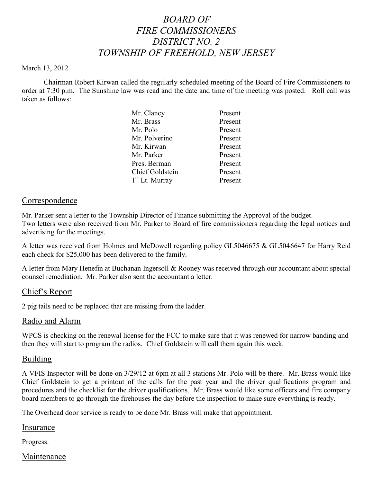# *BOARD OF FIRE COMMISSIONERS DISTRICT NO. 2 TOWNSHIP OF FREEHOLD, NEW JERSEY*

#### March 13, 2012

Chairman Robert Kirwan called the regularly scheduled meeting of the Board of Fire Commissioners to order at 7:30 p.m. The Sunshine law was read and the date and time of the meeting was posted. Roll call was taken as follows:

| Mr. Clancy             | Present |
|------------------------|---------|
| Mr. Brass              | Present |
| Mr. Polo               | Present |
| Mr. Polverino          | Present |
| Mr. Kirwan             | Present |
| Mr. Parker             | Present |
| Pres. Berman           | Present |
| <b>Chief Goldstein</b> | Present |
| $1st$ Lt. Murray       | Present |
|                        |         |

### Correspondence

Mr. Parker sent a letter to the Township Director of Finance submitting the Approval of the budget. Two letters were also received from Mr. Parker to Board of fire commissioners regarding the legal notices and advertising for the meetings.

A letter was received from Holmes and McDowell regarding policy GL5046675 & GL5046647 for Harry Reid each check for \$25,000 has been delivered to the family.

A letter from Mary Henefin at Buchanan Ingersoll & Rooney was received through our accountant about special counsel remediation. Mr. Parker also sent the accountant a letter.

### Chief's Report

2 pig tails need to be replaced that are missing from the ladder.

### Radio and Alarm

WPCS is checking on the renewal license for the FCC to make sure that it was renewed for narrow banding and then they will start to program the radios. Chief Goldstein will call them again this week.

### Building

A VFIS Inspector will be done on 3/29/12 at 6pm at all 3 stations Mr. Polo will be there. Mr. Brass would like Chief Goldstein to get a printout of the calls for the past year and the driver qualifications program and procedures and the checklist for the driver qualifications. Mr. Brass would like some officers and fire company board members to go through the firehouses the day before the inspection to make sure everything is ready.

The Overhead door service is ready to be done Mr. Brass will make that appointment.

### Insurance

Progress.

## Maintenance